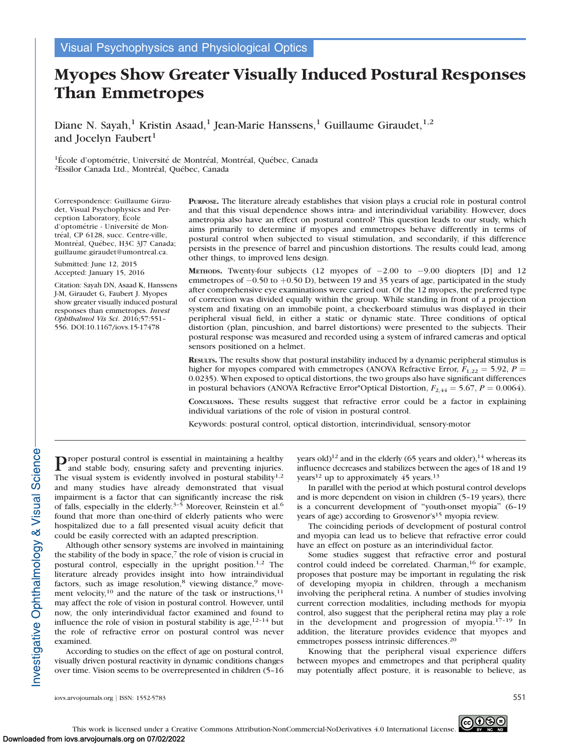# Myopes Show Greater Visually Induced Postural Responses Than Emmetropes

Diane N. Sayah,<sup>1</sup> Kristin Asaad,<sup>1</sup> Jean-Marie Hanssens,<sup>1</sup> Guillaume Giraudet,<sup>1,2</sup> and Jocelyn Faubert<sup>1</sup>

<sup>1</sup>École d'optométrie, Université de Montréal, Montréal, Québec, Canada <sup>2</sup>Essilor Canada Ltd., Montréal, Québec, Canada

Correspondence: Guillaume Giraudet, Visual Psychophysics and Perception Laboratory, Ecole ´ d'optométrie - Université de Montréal, CP 6128, succ. Centre-ville, Montréal, Québec, H3C 3J7 Canada; guillaume.giraudet@umontreal.ca.

Submitted: June 12, 2015 Accepted: January 15, 2016

Citation: Sayah DN, Asaad K, Hanssens J-M, Giraudet G, Faubert J. Myopes show greater visually induced postural responses than emmetropes. Invest Ophthalmol Vis Sci. 2016;57:551– 556. DOI:10.1167/iovs.15-17478

PURPOSE. The literature already establishes that vision plays a crucial role in postural control and that this visual dependence shows intra- and interindividual variability. However, does ametropia also have an effect on postural control? This question leads to our study, which aims primarily to determine if myopes and emmetropes behave differently in terms of postural control when subjected to visual stimulation, and secondarily, if this difference persists in the presence of barrel and pincushion distortions. The results could lead, among other things, to improved lens design.

**METHODS.** Twenty-four subjects  $(12 \text{ myopes of } -2.00 \text{ to } -9.00 \text{ diopters } [D]$  and  $12$ emmetropes of  $-0.50$  to  $+0.50$  D), between 19 and 35 years of age, participated in the study after comprehensive eye examinations were carried out. Of the 12 myopes, the preferred type of correction was divided equally within the group. While standing in front of a projection system and fixating on an immobile point, a checkerboard stimulus was displayed in their peripheral visual field, in either a static or dynamic state. Three conditions of optical distortion (plan, pincushion, and barrel distortions) were presented to the subjects. Their postural response was measured and recorded using a system of infrared cameras and optical sensors positioned on a helmet.

RESULTS. The results show that postural instability induced by a dynamic peripheral stimulus is higher for myopes compared with emmetropes (ANOVA Refractive Error,  $F_{1,22} = 5.92$ ,  $P =$ 0.0235). When exposed to optical distortions, the two groups also have significant differences in postural behaviors (ANOVA Refractive Error\*Optical Distortion,  $F_{2,44} = 5.67$ ,  $P = 0.0064$ ).

CONCLUSIONS. These results suggest that refractive error could be a factor in explaining individual variations of the role of vision in postural control.

Keywords: postural control, optical distortion, interindividual, sensory-motor

Proper postural control is essential in maintaining a healthy and stable body, ensuring safety and preventing injuries. The visual system is evidently involved in postural stability<sup>1,2</sup> and many studies have already demonstrated that visual impairment is a factor that can significantly increase the risk of falls, especially in the elderly.<sup>3–5</sup> Moreover, Reinstein et al.<sup>6</sup> found that more than one-third of elderly patients who were hospitalized due to a fall presented visual acuity deficit that could be easily corrected with an adapted prescription.

Although other sensory systems are involved in maintaining the stability of the body in space, $7$  the role of vision is crucial in postural control, especially in the upright position.<sup>1,2</sup> The literature already provides insight into how intraindividual factors, such as image resolution,<sup>8</sup> viewing distance,<sup>9</sup> movement velocity,<sup>10</sup> and the nature of the task or instructions,<sup>11</sup> may affect the role of vision in postural control. However, until now, the only interindividual factor examined and found to influence the role of vision in postural stability is age,  $12-14$  but the role of refractive error on postural control was never examined.

According to studies on the effect of age on postural control, visually driven postural reactivity in dynamic conditions changes over time. Vision seems to be overrepresented in children (5–16 years old)<sup>12</sup> and in the elderly (65 years and older),<sup>14</sup> whereas its influence decreases and stabilizes between the ages of 18 and 19 years<sup>12</sup> up to approximately 45 years.<sup>13</sup>

In parallel with the period at which postural control develops and is more dependent on vision in children (5–19 years), there is a concurrent development of ''youth-onset myopia'' (6–19 years of age) according to Grosvenor's<sup>15</sup> myopia review.

The coinciding periods of development of postural control and myopia can lead us to believe that refractive error could have an effect on posture as an interindividual factor.

Some studies suggest that refractive error and postural control could indeed be correlated. Charman,<sup>16</sup> for example, proposes that posture may be important in regulating the risk of developing myopia in children, through a mechanism involving the peripheral retina. A number of studies involving current correction modalities, including methods for myopia control, also suggest that the peripheral retina may play a role in the development and progression of myopia.17–19 In addition, the literature provides evidence that myopes and emmetropes possess intrinsic differences.<sup>20</sup>

Knowing that the peripheral visual experience differs between myopes and emmetropes and that peripheral quality may potentially affect posture, it is reasonable to believe, as

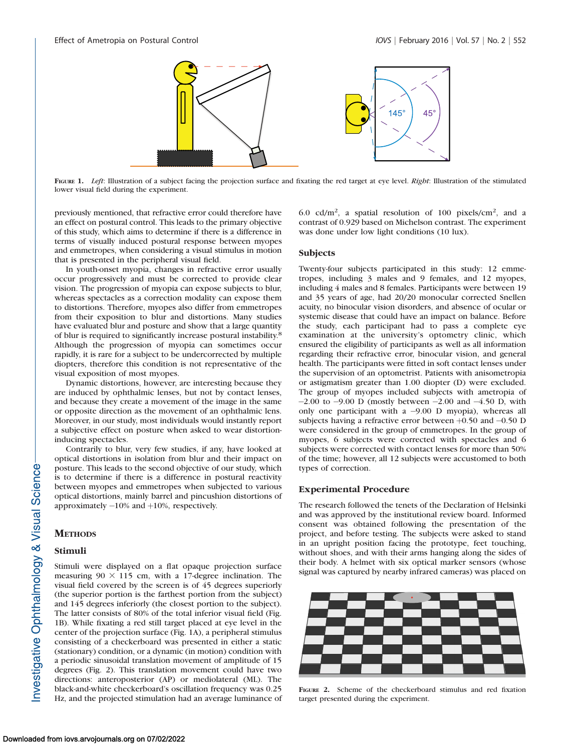

FIGURE 1. Left: Illustration of a subject facing the projection surface and fixating the red target at eye level. Right: Illustration of the stimulated lower visual field during the experiment.

previously mentioned, that refractive error could therefore have an effect on postural control. This leads to the primary objective of this study, which aims to determine if there is a difference in terms of visually induced postural response between myopes and emmetropes, when considering a visual stimulus in motion that is presented in the peripheral visual field.

In youth-onset myopia, changes in refractive error usually occur progressively and must be corrected to provide clear vision. The progression of myopia can expose subjects to blur, whereas spectacles as a correction modality can expose them to distortions. Therefore, myopes also differ from emmetropes from their exposition to blur and distortions. Many studies have evaluated blur and posture and show that a large quantity of blur is required to significantly increase postural instability.8 Although the progression of myopia can sometimes occur rapidly, it is rare for a subject to be undercorrected by multiple diopters, therefore this condition is not representative of the visual exposition of most myopes.

Dynamic distortions, however, are interesting because they are induced by ophthalmic lenses, but not by contact lenses, and because they create a movement of the image in the same or opposite direction as the movement of an ophthalmic lens. Moreover, in our study, most individuals would instantly report a subjective effect on posture when asked to wear distortioninducing spectacles.

Contrarily to blur, very few studies, if any, have looked at optical distortions in isolation from blur and their impact on posture. This leads to the second objective of our study, which is to determine if there is a difference in postural reactivity between myopes and emmetropes when subjected to various optical distortions, mainly barrel and pincushion distortions of approximately  $-10\%$  and  $+10\%$ , respectively.

## **METHODS**

## Stimuli

Stimuli were displayed on a flat opaque projection surface measuring  $90 \times 115$  cm, with a 17-degree inclination. The visual field covered by the screen is of 45 degrees superiorly (the superior portion is the farthest portion from the subject) and 145 degrees inferiorly (the closest portion to the subject). The latter consists of 80% of the total inferior visual field (Fig. 1B). While fixating a red still target placed at eye level in the center of the projection surface (Fig. 1A), a peripheral stimulus consisting of a checkerboard was presented in either a static (stationary) condition, or a dynamic (in motion) condition with a periodic sinusoidal translation movement of amplitude of 15 degrees (Fig. 2). This translation movement could have two directions: anteroposterior (AP) or mediolateral (ML). The black-and-white checkerboard's oscillation frequency was 0.25 Hz, and the projected stimulation had an average luminance of 6.0 cd/m<sup>2</sup>, a spatial resolution of 100 pixels/cm<sup>2</sup>, and a contrast of 0.929 based on Michelson contrast. The experiment was done under low light conditions (10 lux).

## Subjects

Twenty-four subjects participated in this study: 12 emmetropes, including 3 males and 9 females, and 12 myopes, including 4 males and 8 females. Participants were between 19 and 35 years of age, had 20/20 monocular corrected Snellen acuity, no binocular vision disorders, and absence of ocular or systemic disease that could have an impact on balance. Before the study, each participant had to pass a complete eye examination at the university's optometry clinic, which ensured the eligibility of participants as well as all information regarding their refractive error, binocular vision, and general health. The participants were fitted in soft contact lenses under the supervision of an optometrist. Patients with anisometropia or astigmatism greater than 1.00 diopter (D) were excluded. The group of myopes included subjects with ametropia of  $-2.00$  to  $-9.00$  D (mostly between  $-2.00$  and  $-4.50$  D, with only one participant with a -9.00 D myopia), whereas all subjects having a refractive error between  $+0.50$  and  $-0.50$  D were considered in the group of emmetropes. In the group of myopes, 6 subjects were corrected with spectacles and 6 subjects were corrected with contact lenses for more than 50% of the time; however, all 12 subjects were accustomed to both types of correction.

# Experimental Procedure

The research followed the tenets of the Declaration of Helsinki and was approved by the institutional review board. Informed consent was obtained following the presentation of the project, and before testing. The subjects were asked to stand in an upright position facing the prototype, feet touching, without shoes, and with their arms hanging along the sides of their body. A helmet with six optical marker sensors (whose signal was captured by nearby infrared cameras) was placed on



FIGURE 2. Scheme of the checkerboard stimulus and red fixation target presented during the experiment.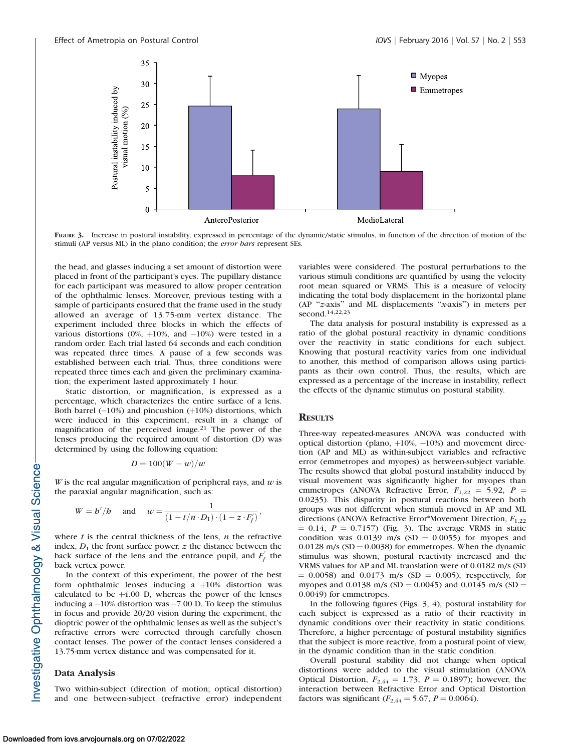

FIGURE 3. Increase in postural instability, expressed in percentage of the dynamic/static stimulus, in function of the direction of motion of the stimuli (AP versus ML) in the plano condition; the error bars represent SEs.

the head, and glasses inducing a set amount of distortion were placed in front of the participant's eyes. The pupillary distance for each participant was measured to allow proper centration of the ophthalmic lenses. Moreover, previous testing with a sample of participants ensured that the frame used in the study allowed an average of 13.75-mm vertex distance. The experiment included three blocks in which the effects of various distortions  $(0\%, +10\%, \text{ and } -10\%)$  were tested in a random order. Each trial lasted 64 seconds and each condition was repeated three times. A pause of a few seconds was established between each trial. Thus, three conditions were repeated three times each and given the preliminary examination; the experiment lasted approximately 1 hour.

Static distortion, or magnification, is expressed as a percentage, which characterizes the entire surface of a lens. Both barrel  $(-10%)$  and pincushion  $(+10%)$  distortions, which were induced in this experiment, result in a change of magnification of the perceived image. $21$  The power of the lenses producing the required amount of distortion (D) was determined by using the following equation:

$$
D=100(W-w)/w
$$

 $W$  is the real angular magnification of peripheral rays, and  $w$  is the paraxial angular magnification, such as:

$$
W = b'/b \quad \text{ and } \quad w = \frac{1}{(1 - t/n \cdot D_1) \cdot (1 - z \cdot F'_f)},
$$

where  $t$  is the central thickness of the lens,  $n$  the refractive index,  $D_1$  the front surface power,  $z$  the distance between the back surface of the lens and the entrance pupil, and  $F_f$  the back vertex power.

In the context of this experiment, the power of the best form ophthalmic lenses inducing a  $+10\%$  distortion was calculated to be  $+4.00$  D, whereas the power of the lenses inducing a  $-10\%$  distortion was  $-7.00$  D. To keep the stimulus in focus and provide 20/20 vision during the experiment, the dioptric power of the ophthalmic lenses as well as the subject's refractive errors were corrected through carefully chosen contact lenses. The power of the contact lenses considered a 13.75-mm vertex distance and was compensated for it.

# Data Analysis

Two within-subject (direction of motion; optical distortion) and one between-subject (refractive error) independent variables were considered. The postural perturbations to the various stimuli conditions are quantified by using the velocity root mean squared or VRMS. This is a measure of velocity indicating the total body displacement in the horizontal plane (AP ''z-axis'' and ML displacements ''x-axis'') in meters per second.14,22,23

The data analysis for postural instability is expressed as a ratio of the global postural reactivity in dynamic conditions over the reactivity in static conditions for each subject. Knowing that postural reactivity varies from one individual to another, this method of comparison allows using participants as their own control. Thus, the results, which are expressed as a percentage of the increase in instability, reflect the effects of the dynamic stimulus on postural stability.

## **RESULTS**

Three-way repeated-measures ANOVA was conducted with optical distortion (plano,  $+10\%$ ,  $-10\%$ ) and movement direction (AP and ML) as within-subject variables and refractive error (emmetropes and myopes) as between-subject variable. The results showed that global postural instability induced by visual movement was significantly higher for myopes than emmetropes (ANOVA Refractive Error,  $F_{1,22} = 5.92$ ,  $P =$ 0.0235). This disparity in postural reactions between both groups was not different when stimuli moved in AP and ML directions (ANOVA Refractive Error\*Movement Direction,  $F_{1,22}$  $= 0.14$ ,  $P = 0.7157$ ) (Fig. 3). The average VRMS in static condition was  $0.0139$  m/s (SD = 0.0055) for myopes and  $0.0128$  m/s (SD = 0.0038) for emmetropes. When the dynamic stimulus was shown, postural reactivity increased and the VRMS values for AP and ML translation were of 0.0182 m/s (SD  $= 0.0058$ ) and 0.0173 m/s (SD  $= 0.005$ ), respectively, for myopes and 0.0138 m/s (SD = 0.0045) and 0.0145 m/s (SD = 0.0049) for emmetropes.

In the following figures (Figs. 3, 4), postural instability for each subject is expressed as a ratio of their reactivity in dynamic conditions over their reactivity in static conditions. Therefore, a higher percentage of postural instability signifies that the subject is more reactive, from a postural point of view, in the dynamic condition than in the static condition.

Overall postural stability did not change when optical distortions were added to the visual stimulation (ANOVA Optical Distortion,  $F_{2,44} = 1.73$ ,  $P = 0.1897$ ); however, the interaction between Refractive Error and Optical Distortion factors was significant ( $F_{2,44} = 5.67$ ,  $P = 0.0064$ ).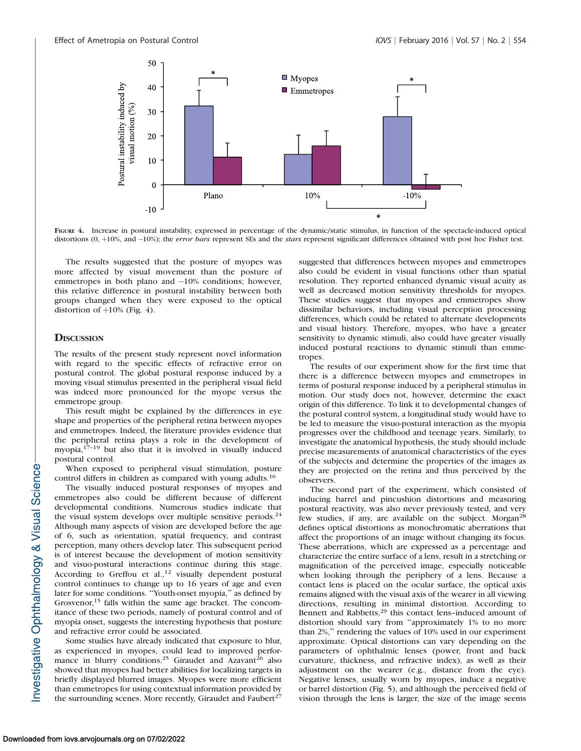

FIGURE 4. Increase in postural instability, expressed in percentage of the dynamic/static stimulus, in function of the spectacle-induced optical distortions (0, +10%, and -10%); the error bars represent SEs and the stars represent significant differences obtained with post hoc Fisher test.

The results suggested that the posture of myopes was more affected by visual movement than the posture of emmetropes in both plano and  $-10\%$  conditions; however, this relative difference in postural instability between both groups changed when they were exposed to the optical distortion of  $+10%$  (Fig. 4).

# **DISCUSSION**

The results of the present study represent novel information with regard to the specific effects of refractive error on postural control. The global postural response induced by a moving visual stimulus presented in the peripheral visual field was indeed more pronounced for the myope versus the emmetrope group.

This result might be explained by the differences in eye shape and properties of the peripheral retina between myopes and emmetropes. Indeed, the literature provides evidence that the peripheral retina plays a role in the development of myopia, $17-19$  but also that it is involved in visually induced postural control.

When exposed to peripheral visual stimulation, posture control differs in children as compared with young adults.<sup>16</sup>

The visually induced postural responses of myopes and emmetropes also could be different because of different developmental conditions. Numerous studies indicate that the visual system develops over multiple sensitive periods.<sup>24</sup> Although many aspects of vision are developed before the age of 6, such as orientation, spatial frequency, and contrast perception, many others develop later. This subsequent period is of interest because the development of motion sensitivity and visuo-postural interactions continue during this stage. According to Greffou et al.,<sup>12</sup> visually dependent postural control continues to change up to 16 years of age and even later for some conditions. ''Youth-onset myopia,'' as defined by Grosvenor,<sup>15</sup> falls within the same age bracket. The concomitance of these two periods, namely of postural control and of myopia onset, suggests the interesting hypothesis that posture and refractive error could be associated.

Some studies have already indicated that exposure to blur, as experienced in myopes, could lead to improved performance in blurry conditions.<sup>25</sup> Giraudet and Azavant<sup>26</sup> also showed that myopes had better abilities for localizing targets in briefly displayed blurred images. Myopes were more efficient than emmetropes for using contextual information provided by the surrounding scenes. More recently, Giraudet and Faubert $27$ 

suggested that differences between myopes and emmetropes also could be evident in visual functions other than spatial resolution. They reported enhanced dynamic visual acuity as well as decreased motion sensitivity thresholds for myopes. These studies suggest that myopes and emmetropes show dissimilar behaviors, including visual perception processing differences, which could be related to alternate developments and visual history. Therefore, myopes, who have a greater sensitivity to dynamic stimuli, also could have greater visually induced postural reactions to dynamic stimuli than emmetropes.

The results of our experiment show for the first time that there is a difference between myopes and emmetropes in terms of postural response induced by a peripheral stimulus in motion. Our study does not, however, determine the exact origin of this difference. To link it to developmental changes of the postural control system, a longitudinal study would have to be led to measure the visuo-postural interaction as the myopia progresses over the childhood and teenage years. Similarly, to investigate the anatomical hypothesis, the study should include precise measurements of anatomical characteristics of the eyes of the subjects and determine the properties of the images as they are projected on the retina and thus perceived by the observers.

The second part of the experiment, which consisted of inducing barrel and pincushion distortions and measuring postural reactivity, was also never previously tested, and very few studies, if any, are available on the subject. Morgan<sup>28</sup> defines optical distortions as monochromatic aberrations that affect the proportions of an image without changing its focus. These aberrations, which are expressed as a percentage and characterize the entire surface of a lens, result in a stretching or magnification of the perceived image, especially noticeable when looking through the periphery of a lens. Because a contact lens is placed on the ocular surface, the optical axis remains aligned with the visual axis of the wearer in all viewing directions, resulting in minimal distortion. According to Bennett and Rabbetts,<sup>29</sup> this contact lens-induced amount of distortion should vary from ''approximately 1% to no more than 2%,'' rendering the values of 10% used in our experiment approximate. Optical distortions can vary depending on the parameters of ophthalmic lenses (power, front and back curvature, thickness, and refractive index), as well as their adjustment on the wearer (e.g., distance from the eye). Negative lenses, usually worn by myopes, induce a negative or barrel distortion (Fig. 5), and although the perceived field of vision through the lens is larger, the size of the image seems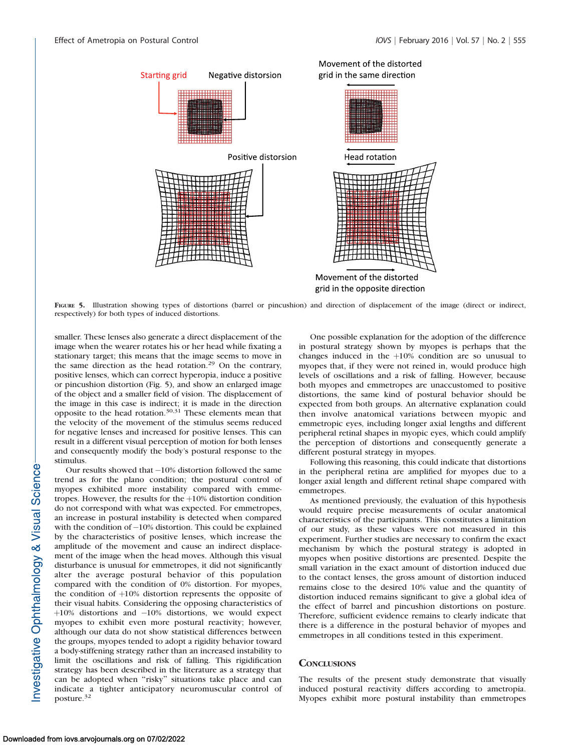

FIGURE 5. Illustration showing types of distortions (barrel or pincushion) and direction of displacement of the image (direct or indirect, respectively) for both types of induced distortions.

smaller. These lenses also generate a direct displacement of the image when the wearer rotates his or her head while fixating a stationary target; this means that the image seems to move in the same direction as the head rotation.<sup>29</sup> On the contrary, positive lenses, which can correct hyperopia, induce a positive or pincushion distortion (Fig. 5), and show an enlarged image of the object and a smaller field of vision. The displacement of the image in this case is indirect; it is made in the direction opposite to the head rotation.30,31 These elements mean that the velocity of the movement of the stimulus seems reduced for negative lenses and increased for positive lenses. This can result in a different visual perception of motion for both lenses and consequently modify the body's postural response to the stimulus.

Our results showed that  $-10\%$  distortion followed the same trend as for the plano condition; the postural control of myopes exhibited more instability compared with emmetropes. However, the results for the  $+10\%$  distortion condition do not correspond with what was expected. For emmetropes, an increase in postural instability is detected when compared with the condition of  $-10\%$  distortion. This could be explained by the characteristics of positive lenses, which increase the amplitude of the movement and cause an indirect displacement of the image when the head moves. Although this visual disturbance is unusual for emmetropes, it did not significantly alter the average postural behavior of this population compared with the condition of 0% distortion. For myopes, the condition of  $+10\%$  distortion represents the opposite of their visual habits. Considering the opposing characteristics of  $+10%$  distortions and  $-10%$  distortions, we would expect myopes to exhibit even more postural reactivity; however, although our data do not show statistical differences between the groups, myopes tended to adopt a rigidity behavior toward a body-stiffening strategy rather than an increased instability to limit the oscillations and risk of falling. This rigidification strategy has been described in the literature as a strategy that can be adopted when ''risky'' situations take place and can indicate a tighter anticipatory neuromuscular control of posture.<sup>32</sup>

One possible explanation for the adoption of the difference in postural strategy shown by myopes is perhaps that the changes induced in the  $+10%$  condition are so unusual to myopes that, if they were not reined in, would produce high levels of oscillations and a risk of falling. However, because both myopes and emmetropes are unaccustomed to positive distortions, the same kind of postural behavior should be expected from both groups. An alternative explanation could then involve anatomical variations between myopic and emmetropic eyes, including longer axial lengths and different peripheral retinal shapes in myopic eyes, which could amplify the perception of distortions and consequently generate a different postural strategy in myopes.

Following this reasoning, this could indicate that distortions in the peripheral retina are amplified for myopes due to a longer axial length and different retinal shape compared with emmetropes.

As mentioned previously, the evaluation of this hypothesis would require precise measurements of ocular anatomical characteristics of the participants. This constitutes a limitation of our study, as these values were not measured in this experiment. Further studies are necessary to confirm the exact mechanism by which the postural strategy is adopted in myopes when positive distortions are presented. Despite the small variation in the exact amount of distortion induced due to the contact lenses, the gross amount of distortion induced remains close to the desired 10% value and the quantity of distortion induced remains significant to give a global idea of the effect of barrel and pincushion distortions on posture. Therefore, sufficient evidence remains to clearly indicate that there is a difference in the postural behavior of myopes and emmetropes in all conditions tested in this experiment.

# **CONCLUSIONS**

The results of the present study demonstrate that visually induced postural reactivity differs according to ametropia. Myopes exhibit more postural instability than emmetropes